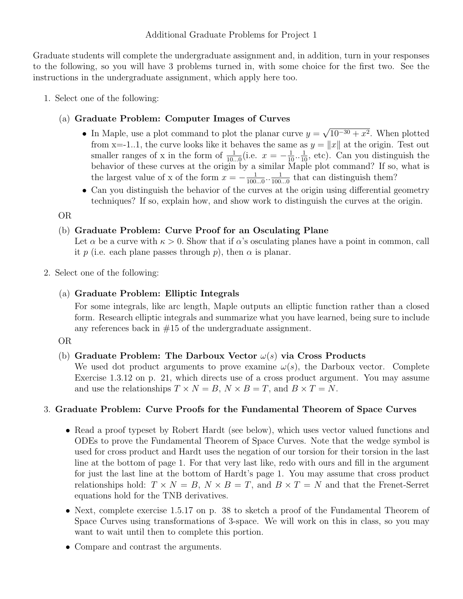Additional Graduate Problems for Project 1

Graduate students will complete the undergraduate assignment and, in addition, turn in your responses to the following, so you will have 3 problems turned in, with some choice for the first two. See the instructions in the undergraduate assignment, which apply here too.

1. Select one of the following:

## (a) Graduate Problem: Computer Images of Curves

- In Maple, use a plot command to plot the planar curve  $y =$ √  $10^{-30} + x^2$ . When plotted from x=-1..1, the curve looks like it behaves the same as  $y = ||x||$  at the origin. Test out smaller ranges of x in the form of  $\frac{1}{10...0}$  (i.e.  $x = -\frac{1}{10} \cdot \frac{1}{10}$ , etc). Can you distinguish the behavior of these curves at the origin by a similar Maple plot command? If so, what is the largest value of x of the form  $x = -\frac{1}{100}$  $\frac{1}{100...0} \cdot \frac{1}{100}$  $\frac{1}{100...0}$  that can distinguish them?
- Can you distinguish the behavior of the curves at the origin using differential geometry techniques? If so, explain how, and show work to distinguish the curves at the origin.

OR

### (b) Graduate Problem: Curve Proof for an Osculating Plane

Let  $\alpha$  be a curve with  $\kappa > 0$ . Show that if  $\alpha$ 's osculating planes have a point in common, call it p (i.e. each plane passes through p), then  $\alpha$  is planar.

2. Select one of the following:

# (a) Graduate Problem: Elliptic Integrals

For some integrals, like arc length, Maple outputs an elliptic function rather than a closed form. Research elliptic integrals and summarize what you have learned, being sure to include any references back in  $#15$  of the undergraduate assignment.

### OR

### (b) Graduate Problem: The Darboux Vector  $\omega(s)$  via Cross Products

We used dot product arguments to prove examine  $\omega(s)$ , the Darboux vector. Complete Exercise 1.3.12 on p. 21, which directs use of a cross product argument. You may assume and use the relationships  $T \times N = B$ ,  $N \times B = T$ , and  $B \times T = N$ .

### 3. Graduate Problem: Curve Proofs for the Fundamental Theorem of Space Curves

- Read a proof typeset by Robert Hardt (see below), which uses vector valued functions and ODEs to prove the Fundamental Theorem of Space Curves. Note that the wedge symbol is used for cross product and Hardt uses the negation of our torsion for their torsion in the last line at the bottom of page 1. For that very last like, redo with ours and fill in the argument for just the last line at the bottom of Hardt's page 1. You may assume that cross product relationships hold:  $T \times N = B$ ,  $N \times B = T$ , and  $B \times T = N$  and that the Frenet-Serret equations hold for the TNB derivatives.
- Next, complete exercise 1.5.17 on p. 38 to sketch a proof of the Fundamental Theorem of Space Curves using transformations of 3-space. We will work on this in class, so you may want to wait until then to complete this portion.
- Compare and contrast the arguments.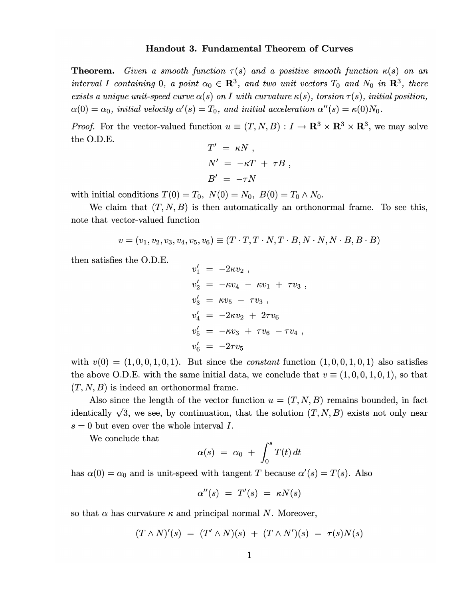#### Handout 3. Fundamental Theorem of Curves

**Theorem.** Given a smooth function  $\tau(s)$  and a positive smooth function  $\kappa(s)$  on an interval I containing 0, a point  $\alpha_0 \in \mathbb{R}^3$ , and two unit vectors  $T_0$  and  $N_0$  in  $\mathbb{R}^3$ , there exists a unique unit-speed curve  $\alpha(s)$  on I with curvature  $\kappa(s)$ , torsion  $\tau(s)$ , initial position,  $\alpha(0) = \alpha_0$ , initial velocity  $\alpha'(s) = T_0$ , and initial acceleration  $\alpha''(s) = \kappa(0)N_0$ .

*Proof.* For the vector-valued function  $u \equiv (T, N, B) : I \to \mathbb{R}^3 \times \mathbb{R}^3 \times \mathbb{R}^3$ , we may solve the O.D.E.  $\lambda$ r  $\overline{a}$ 

$$
T' = \kappa N ,
$$
  
\n
$$
N' = -\kappa T + \tau B ,
$$
  
\n
$$
B' = -\tau N
$$

with initial conditions  $T(0) = T_0$ ,  $N(0) = N_0$ ,  $B(0) = T_0 \wedge N_0$ .

We claim that  $(T, N, B)$  is then automatically an orthonormal frame. To see this, note that vector-valued function

$$
v = (v_1, v_2, v_3, v_4, v_5, v_6) \equiv (T \cdot T, T \cdot N, T \cdot B, N \cdot N, N \cdot B, B \cdot B)
$$

then satisfies the O.D.E.

$$
v'_1 = -2\kappa v_2 ,
$$
  
\n
$$
v'_2 = -\kappa v_4 - \kappa v_1 + \tau v_3 ,
$$
  
\n
$$
v'_3 = \kappa v_5 - \tau v_3 ,
$$
  
\n
$$
v'_4 = -2\kappa v_2 + 2\tau v_6
$$
  
\n
$$
v'_5 = -\kappa v_3 + \tau v_6 - \tau v_4 ,
$$
  
\n
$$
v'_6 = -2\tau v_5
$$

with  $v(0) = (1, 0, 0, 1, 0, 1)$ . But since the *constant* function  $(1, 0, 0, 1, 0, 1)$  also satisfies the above O.D.E. with the same initial data, we conclude that  $v \equiv (1, 0, 0, 1, 0, 1)$ , so that  $(T, N, B)$  is indeed an orthonormal frame.

Also since the length of the vector function  $u = (T, N, B)$  remains bounded, in fact identically  $\sqrt{3}$ , we see, by continuation, that the solution  $(T, N, B)$  exists not only near  $s = 0$  but even over the whole interval I.

We conclude that

$$
\alpha(s) = \alpha_0 + \int_0^s T(t) dt
$$

has  $\alpha(0) = \alpha_0$  and is unit-speed with tangent T because  $\alpha'(s) = T(s)$ . Also

$$
\alpha''(s) = T'(s) = \kappa N(s)
$$

so that  $\alpha$  has curvature  $\kappa$  and principal normal N. Moreover,

$$
(T \wedge N)'(s) = (T' \wedge N)(s) + (T \wedge N')(s) = \tau(s)N(s)
$$